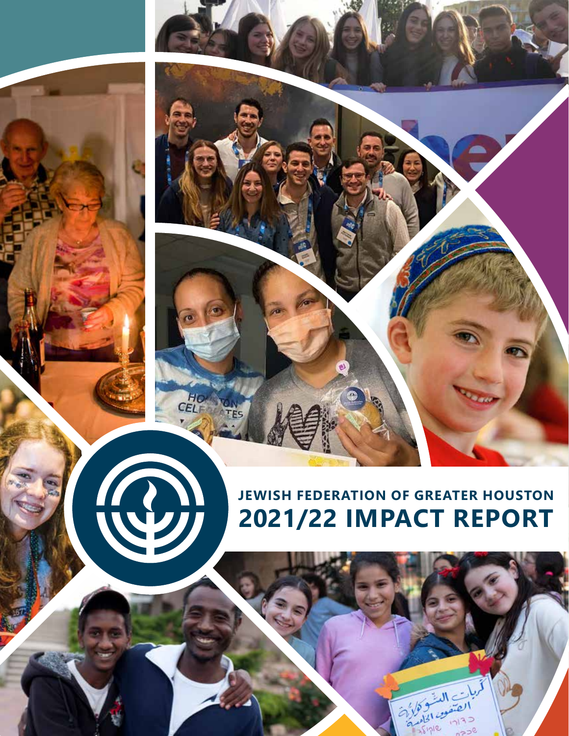

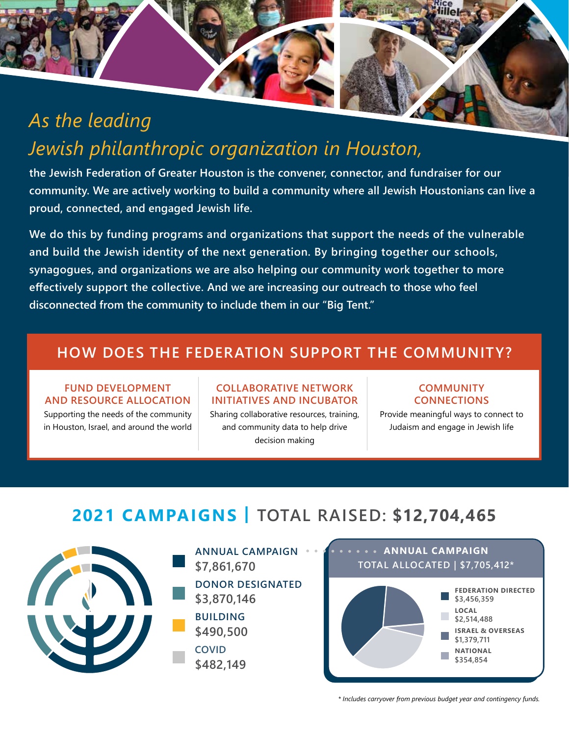# *As the leading Jewish philanthropic organization in Houston,*

**the Jewish Federation of Greater Houston is the convener, connector, and fundraiser for our community. We are actively working to build a community where all Jewish Houstonians can live a proud, connected, and engaged Jewish life.**

**We do this by funding programs and organizations that support the needs of the vulnerable and build the Jewish identity of the next generation. By bringing together our schools, synagogues, and organizations we are also helping our community work together to more effectively support the collective. And we are increasing our outreach to those who feel disconnected from the community to include them in our "Big Tent."**

## **HOW DOES THE FEDERATION SUPPORT THE COMMUNITY?**

#### **FUND DEVELOPMENT AND RESOURCE ALLOCATION**

Supporting the needs of the community in Houston, Israel, and around the world

#### **COLLABORATIVE NETWORK INITIATIVES AND INCUBATOR**

Sharing collaborative resources, training, and community data to help drive decision making

#### **COMMUNITY CONNECTIONS**

Provide meaningful ways to connect to Judaism and engage in Jewish life

## **2021 CAMPAIGNS | TOTAL RAISED: \$12,704,465**



**ANNUAL CAMPAIGN \$7,861,670 DONOR DESIGNATED \$3,870,146 BUILDING \$490,500 COVID \$482,149**



*\* Includes carryover from previous budget year and contingency funds.*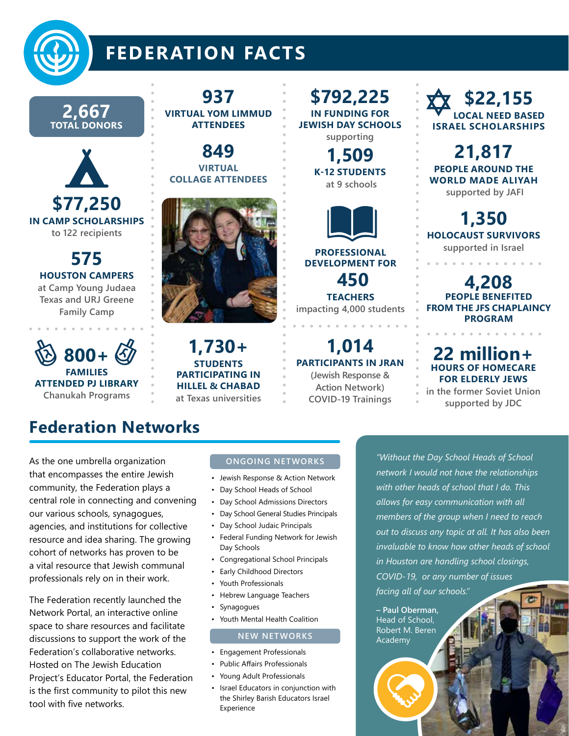

# **FEDERATION FACTS**

**2,667 TOTAL DONORS**



**575 HOUSTON CAMPERS at Camp Young Judaea Texas and URJ Greene** 

**Family Camp**



### **937 VIRTUAL YOM LIMMUD ATTENDEES**

**849 VIRTUAL COLLAGE ATTENDEES** 



**1,730+ STUDENTS PARTICIPATING IN HILLEL & CHABAD at Texas universities**

**\$792,225 IN FUNDING FOR JEWISH DAY SCHOOLS supporting** 

> **1,509 K-12 STUDENTS at 9 schools**



**PROFESSIONAL DEVELOPMENT FOR 450** 

**TEACHERS impacting 4,000 students**

**1,014 PARTICIPANTS IN JRAN (Jewish Response & Action Network) COVID-19 Trainings** 

**\$22,155 LOCAL NEED BASED ISRAEL SCHOLARSHIPS**

**21,817 PEOPLE AROUND THE WORLD MADE ALIYAH supported by JAFI**

**1,350 HOLOCAUST SURVIVORS supported in Israel**

**4,208 PEOPLE BENEFITED FROM THE JFS CHAPLAINCY PROGRAM**

### **22 million+ HOURS OF HOMECARE FOR ELDERLY JEWS**

**in the former Soviet Union supported by JDC**

As the one umbrella organization that encompasses the entire Jewish community, the Federation plays a central role in connecting and convening our various schools, synagogues, agencies, and institutions for collective resource and idea sharing. The growing cohort of networks has proven to be a vital resource that Jewish communal professionals rely on in their work.

**Federation Networks**

The Federation recently launched the Network Portal, an interactive online space to share resources and facilitate discussions to support the work of the Federation's collaborative networks. Hosted on The Jewish Education Project's Educator Portal, the Federation is the first community to pilot this new tool with five networks.

### **ONGOING NETWORKS**

- Jewish Response & Action Network
- Day School Heads of School
- Day School Admissions Directors
- Day School General Studies Principals
- Day School Judaic Principals
- Federal Funding Network for Jewish Day Schools
- Congregational School Principals
- Early Childhood Directors
- Youth Professionals
- Hebrew Language Teachers
- Synagogues
- Youth Mental Health Coalition

#### **NEW NETWORKS**

- Engagement Professionals
- Public Affairs Professionals
- Young Adult Professionals
- Israel Educators in conjunction with the Shirley Barish Educators Israel Experience

*"Without the Day School Heads of School network I would not have the relationships with other heads of school that I do. This allows for easy communication with all members of the group when I need to reach out to discuss any topic at all. It has also been invaluable to know how other heads of school in Houston are handling school closings, COVID-19, or any number of issues facing all of our schools."* 

**– Paul Oberman,**  Head of School, Robert M. Beren Academy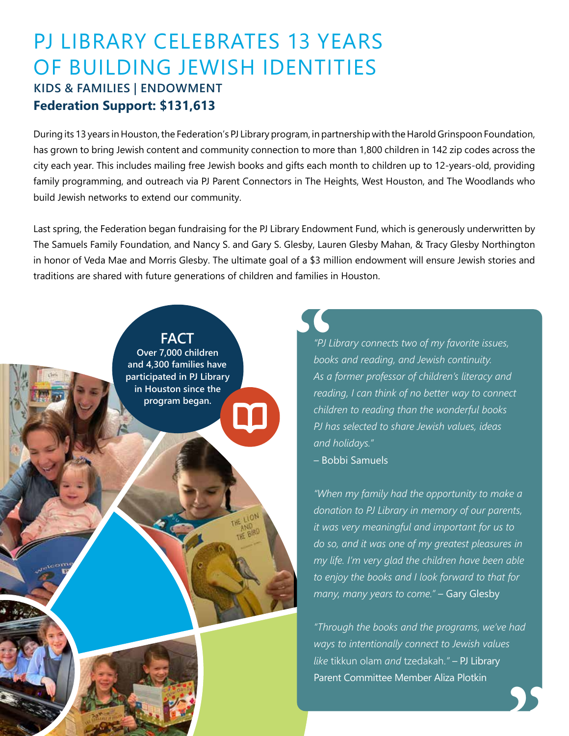## PJ LIBRARY CELEBRATES 13 YEARS OF BUILDING JEWISH IDENTITIES **KIDS & FAMILIES | ENDOWMENT Federation Support: \$131,613**

During its 13 years in Houston, the Federation's PJ Library program, in partnership with the Harold Grinspoon Foundation, has grown to bring Jewish content and community connection to more than 1,800 children in 142 zip codes across the city each year. This includes mailing free Jewish books and gifts each month to children up to 12-years-old, providing family programming, and outreach via PJ Parent Connectors in The Heights, West Houston, and The Woodlands who build Jewish networks to extend our community.

Last spring, the Federation began fundraising for the PJ Library Endowment Fund, which is generously underwritten by The Samuels Family Foundation, and Nancy S. and Gary S. Glesby, Lauren Glesby Mahan, & Tracy Glesby Northington in honor of Veda Mae and Morris Glesby. The ultimate goal of a \$3 million endowment will ensure Jewish stories and traditions are shared with future generations of children and families in Houston.



*"PJ Library connects two of my favorite issues, books and reading, and Jewish continuity. As a former professor of children's literacy and reading, I can think of no better way to connect children to reading than the wonderful books PJ has selected to share Jewish values, ideas and holidays."* 

– Bobbi Samuels

*"When my family had the opportunity to make a donation to PJ Library in memory of our parents, it was very meaningful and important for us to do so, and it was one of my greatest pleasures in my life. I'm very glad the children have been able to enjoy the books and I look forward to that for many, many years to come."* – Gary Glesby

*"Through the books and the programs, we've had ways to intentionally connect to Jewish values like* tikkun olam *and* tzedakah.*"* – PJ Library Parent Committee Member Aliza Plotkin

**"**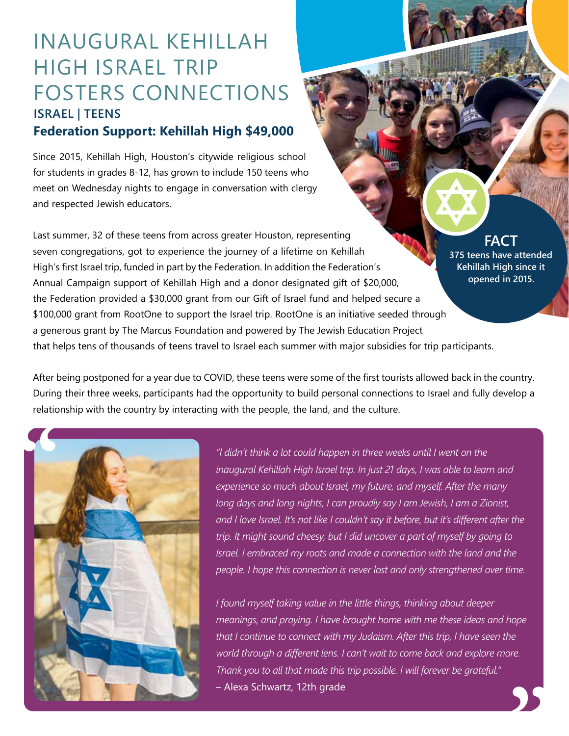# INAUGURAL KEHILLAH HIGH ISRAEL TRIP FOSTERS CONNECTIONS **ISRAEL | TEENS**

## **Federation Support: Kehillah High \$49,000**

Since 2015, Kehillah High, Houston's citywide religious school for students in grades 8-12, has grown to include 150 teens who meet on Wednesday nights to engage in conversation with clergy and respected Jewish educators.

Last summer, 32 of these teens from across greater Houston, representing seven congregations, got to experience the journey of a lifetime on Kehillah High's first Israel trip, funded in part by the Federation. In addition the Federation's Annual Campaign support of Kehillah High and a donor designated gift of \$20,000, the Federation provided a \$30,000 grant from our Gift of Israel fund and helped secure a \$100,000 grant from RootOne to support the Israel trip. RootOne is an initiative seeded through a generous grant by The Marcus Foundation and powered by The Jewish Education Project that helps tens of thousands of teens travel to Israel each summer with major subsidies for trip participants. **FACT 375 teens have attended Kehillah High since it opened in 2015.**

After being postponed for a year due to COVID, these teens were some of the first tourists allowed back in the country. During their three weeks, participants had the opportunity to build personal connections to Israel and fully develop a relationship with the country by interacting with the people, the land, and the culture.



*"I didn't think a lot could happen in three weeks until I went on the inaugural Kehillah High Israel trip. In just 21 days, I was able to learn and experience so much about Israel, my future, and myself. After the many long days and long nights, I can proudly say I am Jewish, I am a Zionist, and I love Israel. It's not like I couldn't say it before, but it's different after the trip. It might sound cheesy, but I did uncover a part of myself by going to Israel. I embraced my roots and made a connection with the land and the people. I hope this connection is never lost and only strengthened over time.*

*I found myself taking value in the little things, thinking about deeper meanings, and praying. I have brought home with me these ideas and hope that I continue to connect with my Judaism. After this trip, I have seen the world through a different lens. I can't wait to come back and explore more. Thank you to all that made this trip possible. I will forever be grateful."*  world through a different lens. I can't wait to come back and explore more.<br>Thank you to all that made this trip possible. I will forever be grateful."<br>— Alexa Schwartz, 12th grade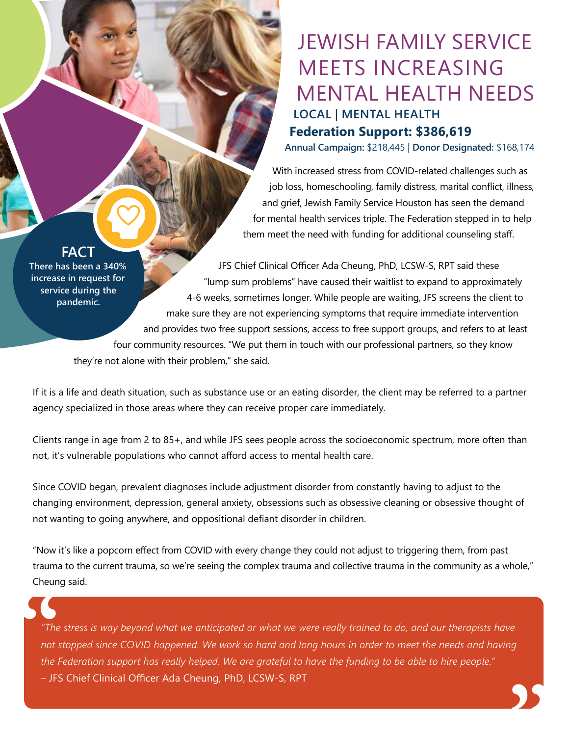## JEWISH FAMILY SERVICE MEETS INCREASING MENTAL HEALTH NEEDS **LOCAL | MENTAL HEALTH Federation Support: \$386,619**

**Annual Campaign:** \$218,445 | **Donor Designated:** \$168,174

With increased stress from COVID-related challenges such as job loss, homeschooling, family distress, marital conflict, illness, and grief, Jewish Family Service Houston has seen the demand for mental health services triple. The Federation stepped in to help them meet the need with funding for additional counseling staff.

**FACT**

**There has been a 340% increase in request for service during the pandemic.**

JFS Chief Clinical Officer Ada Cheung, PhD, LCSW-S, RPT said these "lump sum problems" have caused their waitlist to expand to approximately 4-6 weeks, sometimes longer. While people are waiting, JFS screens the client to make sure they are not experiencing symptoms that require immediate intervention and provides two free support sessions, access to free support groups, and refers to at least four community resources. "We put them in touch with our professional partners, so they know they're not alone with their problem," she said.

If it is a life and death situation, such as substance use or an eating disorder, the client may be referred to a partner agency specialized in those areas where they can receive proper care immediately.

Clients range in age from 2 to 85+, and while JFS sees people across the socioeconomic spectrum, more often than not, it's vulnerable populations who cannot afford access to mental health care.

Since COVID began, prevalent diagnoses include adjustment disorder from constantly having to adjust to the changing environment, depression, general anxiety, obsessions such as obsessive cleaning or obsessive thought of not wanting to going anywhere, and oppositional defiant disorder in children.

"Now it's like a popcorn effect from COVID with every change they could not adjust to triggering them, from past trauma to the current trauma, so we're seeing the complex trauma and collective trauma in the community as a whole," Cheung said.

*"The stress is way beyond what we anticipated or what we were really trained to do, and our therapists have not stopped since COVID happened. We work so hard and long hours in order to meet the needs and having the Federation support has really helped. We are grateful to have the funding to be able to hire people."* – JFS Chief Clinical Officer Ada Cheung, PhD, LCSW-S, RPT **"** The<br>
"The<br>
not s<br>
the *l*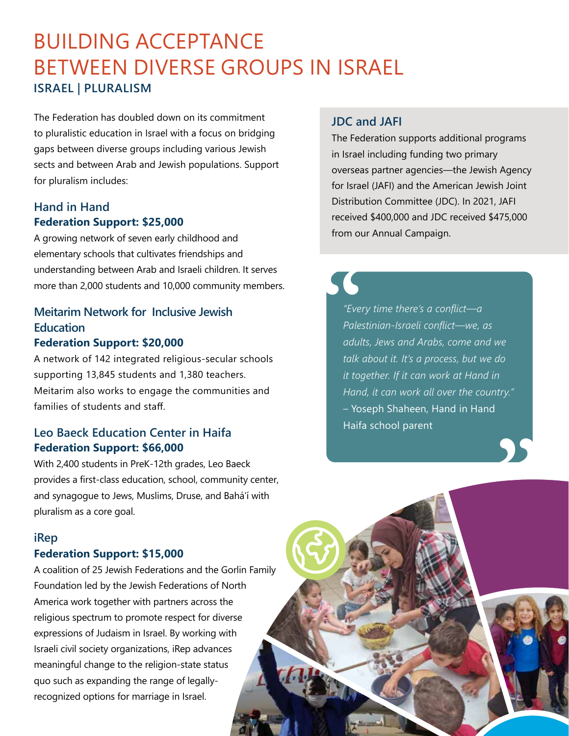## BUILDING ACCEPTANCE BETWEEN DIVERSE GROUPS IN ISRAEL **ISRAEL | PLURALISM**

The Federation has doubled down on its commitment to pluralistic education in Israel with a focus on bridging gaps between diverse groups including various Jewish sects and between Arab and Jewish populations. Support for pluralism includes:

### **Hand in Hand Federation Support: \$25,000**

A growing network of seven early childhood and elementary schools that cultivates friendships and understanding between Arab and Israeli children. It serves more than 2,000 students and 10,000 community members.

### **Meitarim Network for Inclusive Jewish Education Federation Support: \$20,000**

A network of 142 integrated religious-secular schools supporting 13,845 students and 1,380 teachers. Meitarim also works to engage the communities and families of students and staff.

## **Leo Baeck Education Center in Haifa Federation Support: \$66,000**

With 2,400 students in PreK-12th grades, Leo Baeck provides a first-class education, school, community center, and synagogue to Jews, Muslims, Druse, and Bahá'í with pluralism as a core goal.

### **iRep**

### **Federation Support: \$15,000**

A coalition of 25 Jewish Federations and the Gorlin Family Foundation led by the Jewish Federations of North America work together with partners across the religious spectrum to promote respect for diverse expressions of Judaism in Israel. By working with Israeli civil society organizations, iRep advances meaningful change to the religion-state status quo such as expanding the range of legallyrecognized options for marriage in Israel.

### **JDC and JAFI**

The Federation supports additional programs in Israel including funding two primary overseas partner agencies—the Jewish Agency for Israel (JAFI) and the American Jewish Joint Distribution Committee (JDC). In 2021, JAFI received \$400,000 and JDC received \$475,000 from our Annual Campaign.

*"Every time there's a conflict—a Palestinian-Israeli conflict—we, as adults, Jews and Arabs, come and we talk about it. It's a process, but we do it together. If it can work at Hand in Hand, it can work all over the country."*  – Yoseph Shaheen, Hand in Hand Haifa school parent **" S**<br>
"Eve.<br>
Pale.<br>
adul